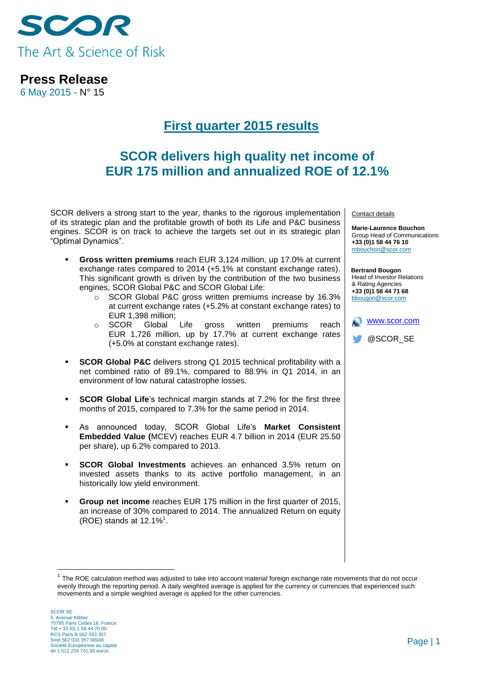

6 May 2015 - N° 15

# **First quarter 2015 results**

# **SCOR delivers high quality net income of EUR 175 million and annualized ROE of 12.1%**

SCOR delivers a strong start to the year, thanks to the rigorous implementation of its strategic plan and the profitable growth of both its Life and P&C business engines. SCOR is on track to achieve the targets set out in its strategic plan "Optimal Dynamics".

- **Gross written premiums** reach EUR 3,124 million, up 17.0% at current exchange rates compared to 2014 (+5.1% at constant exchange rates). This significant growth is driven by the contribution of the two business engines, SCOR Global P&C and SCOR Global Life:
	- o SCOR Global P&C gross written premiums increase by 16.3% at current exchange rates (+5.2% at constant exchange rates) to EUR 1,398 million;
	- o SCOR Global Life gross written premiums reach EUR 1,726 million, up by 17.7% at current exchange rates (+5.0% at constant exchange rates).
- **SCOR Global P&C** delivers strong Q1 2015 technical profitability with a net combined ratio of 89.1%, compared to 88.9% in Q1 2014, in an environment of low natural catastrophe losses.
- **SCOR Global Life**'s technical margin stands at 7.2% for the first three months of 2015, compared to 7.3% for the same period in 2014.
- As announced today, SCOR Global Life's **Market Consistent Embedded Value (**MCEV) reaches EUR 4.7 billion in 2014 (EUR 25.50 per share), up 6.2% compared to 2013.
- **SCOR Global Investments** achieves an enhanced 3.5% return on invested assets thanks to its active portfolio management, in an historically low yield environment.
- **Group net income** reaches EUR 175 million in the first quarter of 2015, an increase of 30% compared to 2014. The annualized Return on equity (ROE) stands at  $12.1\%$ <sup>1</sup>.

<u>.</u>

Contact details

**Marie-Laurence Bouchon** Group Head of Communications **+33 (0)1 58 44 76 10** [mbouchon@scor.com](mailto:mbouchon@scor.com)

**Bertrand Bougon** Head of Investor Relations & Rating Agencies **+33 (0)1 58 44 71 68** bbougon@scor.com



<sup>&</sup>lt;sup>1</sup> The ROE calculation method was adjusted to take into account material foreign exchange rate movements that do not occur evenly through the reporting period. A daily weighted average is applied for the currency or currencies that experienced such movements and a simple weighted average is applied for the other currencies.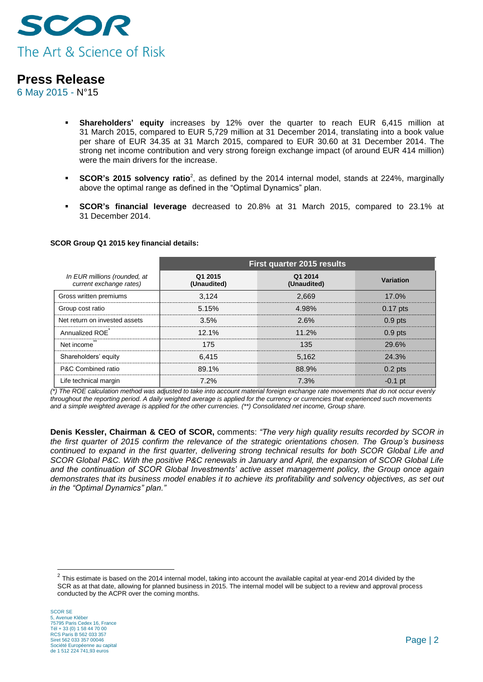

6 May 2015 - N°15

- **Shareholders' equity** increases by 12% over the quarter to reach EUR 6,415 million at 31 March 2015, compared to EUR 5,729 million at 31 December 2014, translating into a book value per share of EUR 34.35 at 31 March 2015, compared to EUR 30.60 at 31 December 2014. The strong net income contribution and very strong foreign exchange impact (of around EUR 414 million) were the main drivers for the increase.
- **SCOR's 2015 solvency ratio**<sup>2</sup>, as defined by the 2014 internal model, stands at 224%, marginally above the optimal range as defined in the "Optimal Dynamics" plan.
- **SCOR's financial leverage** decreased to 20.8% at 31 March 2015, compared to 23.1% at 31 December 2014.

|                                                         | <b>First quarter 2015 results</b> |                        |            |
|---------------------------------------------------------|-----------------------------------|------------------------|------------|
| In EUR millions (rounded, at<br>current exchange rates) | Q1 2015<br>(Unaudited)            | Q1 2014<br>(Unaudited) | Variation  |
| Gross written premiums                                  | 3.124                             | 2.669                  | 17.0%      |
| Group cost ratio                                        | 5.15%                             | 4.98%                  | $0.17$ pts |
| Net return on invested assets                           | 3.5%                              | 2.6%                   | $0.9$ pts  |
| Annualized ROE                                          | 12.1%                             | 11.2%                  | $0.9$ pts  |
| Net income                                              | 175                               | 135                    | 29.6%      |
| Shareholders' equity                                    | 6.415                             | 5.162                  | 24.3%      |
| P&C Combined ratio                                      | 89.1%                             | 88.9%                  | $0.2$ pts  |
| Life technical margin                                   | 7.2%                              | 7.3%                   | $-0.1$ pt  |

#### **SCOR Group Q1 2015 key financial details:**

*(\*) The ROE calculation method was adjusted to take into account material foreign exchange rate movements that do not occur evenly throughout the reporting period. A daily weighted average is applied for the currency or currencies that experienced such movements and a simple weighted average is applied for the other currencies. (\*\*) Consolidated net income, Group share.*

**Denis Kessler, Chairman & CEO of SCOR,** comments: *"The very high quality results recorded by SCOR in the first quarter of 2015 confirm the relevance of the strategic orientations chosen. The Group's business continued to expand in the first quarter, delivering strong technical results for both SCOR Global Life and SCOR Global P&C. With the positive P&C renewals in January and April, the expansion of SCOR Global Life and the continuation of SCOR Global Investments' active asset management policy, the Group once again demonstrates that its business model enables it to achieve its profitability and solvency objectives, as set out in the "Optimal Dynamics" plan."*

<u>.</u>

 $^2$  This estimate is based on the 2014 internal model, taking into account the available capital at year-end 2014 divided by the SCR as at that date, allowing for planned business in 2015. The internal model will be subject to a review and approval process conducted by the ACPR over the coming months.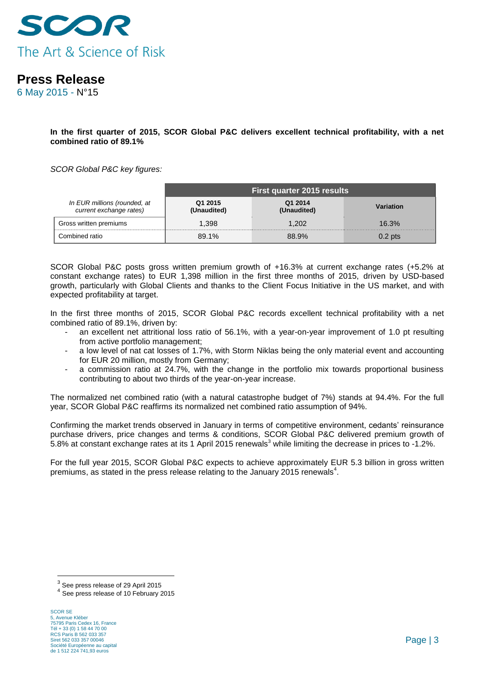

6 May 2015 - N°15

**In the first quarter of 2015, SCOR Global P&C delivers excellent technical profitability, with a net combined ratio of 89.1%**

*SCOR Global P&C key figures:*

|                                                         | First quarter 2015 results |                        |           |
|---------------------------------------------------------|----------------------------|------------------------|-----------|
| In EUR millions (rounded, at<br>current exchange rates) | Q1 2015<br>(Unaudited)     | Q1 2014<br>(Unaudited) | Variation |
| Gross written premiums                                  | 1.398                      | 1.202                  | 16.3%     |
| Combined ratio                                          | 89.1%                      | 88.9%                  | $0.2$ pts |

SCOR Global P&C posts gross written premium growth of +16.3% at current exchange rates (+5.2% at constant exchange rates) to EUR 1,398 million in the first three months of 2015, driven by USD-based growth, particularly with Global Clients and thanks to the Client Focus Initiative in the US market, and with expected profitability at target.

In the first three months of 2015, SCOR Global P&C records excellent technical profitability with a net combined ratio of 89.1%, driven by:

- an excellent net attritional loss ratio of 56.1%, with a year-on-year improvement of 1.0 pt resulting from active portfolio management;
- a low level of nat cat losses of 1.7%, with Storm Niklas being the only material event and accounting for EUR 20 million, mostly from Germany;
- a commission ratio at 24.7%, with the change in the portfolio mix towards proportional business contributing to about two thirds of the year-on-year increase.

The normalized net combined ratio (with a natural catastrophe budget of 7%) stands at 94.4%. For the full year, SCOR Global P&C reaffirms its normalized net combined ratio assumption of 94%.

Confirming the market trends observed in January in terms of competitive environment, cedants' reinsurance purchase drivers, price changes and terms & conditions, SCOR Global P&C delivered premium growth of 5.8% at constant exchange rates at its 1 April 2015 renewals<sup>3</sup> while limiting the decrease in prices to -1.2%.

For the full year 2015, SCOR Global P&C expects to achieve approximately EUR 5.3 billion in gross written premiums, as stated in the press release relating to the January 2015 renewals<sup>4</sup>.

 3 See press release of 29 April 2015

<sup>4</sup> See press release of 10 February 2015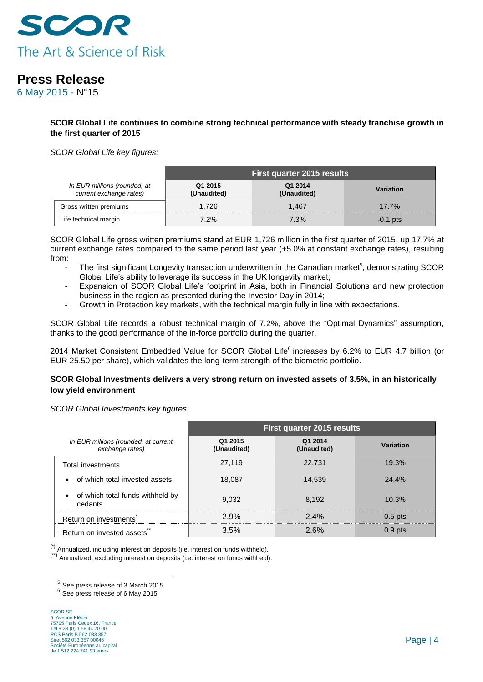

6 May 2015 - N°15

**SCOR Global Life continues to combine strong technical performance with steady franchise growth in the first quarter of 2015**

*SCOR Global Life key figures:* 

|                                                         | First quarter 2015 results |                        |            |
|---------------------------------------------------------|----------------------------|------------------------|------------|
| In EUR millions (rounded, at<br>current exchange rates) | Q1 2015<br>(Unaudited)     | Q1 2014<br>(Unaudited) | Variation  |
| Gross written premiums                                  | 1.726                      | 1.467                  | 17.7%      |
| Life technical margin                                   | 7.2%                       | 7.3%                   | $-0.1$ pts |

SCOR Global Life gross written premiums stand at EUR 1,726 million in the first quarter of 2015, up 17.7% at current exchange rates compared to the same period last year (+5.0% at constant exchange rates), resulting from:

- The first significant Longevity transaction underwritten in the Canadian market<sup>5</sup>, demonstrating SCOR Global Life's ability to leverage its success in the UK longevity market;
- Expansion of SCOR Global Life's footprint in Asia, both in Financial Solutions and new protection business in the region as presented during the Investor Day in 2014;
- Growth in Protection key markets, with the technical margin fully in line with expectations.

SCOR Global Life records a robust technical margin of 7.2%, above the "Optimal Dynamics" assumption, thanks to the good performance of the in-force portfolio during the quarter.

2014 Market Consistent Embedded Value for SCOR Global Life<sup>6</sup> increases by 6.2% to EUR 4.7 billion (or EUR 25.50 per share), which validates the long-term strength of the biometric portfolio.

### **SCOR Global Investments delivers a very strong return on invested assets of 3.5%, in an historically low yield environment**

*SCOR Global Investments key figures:*

|                                                          | <b>First quarter 2015 results</b> |                        |           |
|----------------------------------------------------------|-----------------------------------|------------------------|-----------|
| In EUR millions (rounded, at current<br>exchange rates)  | Q1 2015<br>(Unaudited)            | Q1 2014<br>(Unaudited) | Variation |
| Total investments                                        | 27,119                            | 22.731                 | 19.3%     |
| of which total invested assets<br>$\bullet$              | 18.087                            | 14.539                 | 24.4%     |
| of which total funds withheld by<br>$\bullet$<br>cedants | 9.032                             | 8.192                  | 10.3%     |
| Return on investments                                    | 2.9%                              | $2.4\%$                | $0.5$ pts |
| Return on invested assets                                | 3.5%                              | 2.6%                   | $0.9$ pts |

 $(')$  Annualized, including interest on deposits (i.e. interest on funds withheld).

(\*\*) Annualized, excluding interest on deposits (i.e. interest on funds withheld).

 5 See press release of 3 March 2015

<sup>&</sup>lt;sup>6</sup> See press release of 6 May 2015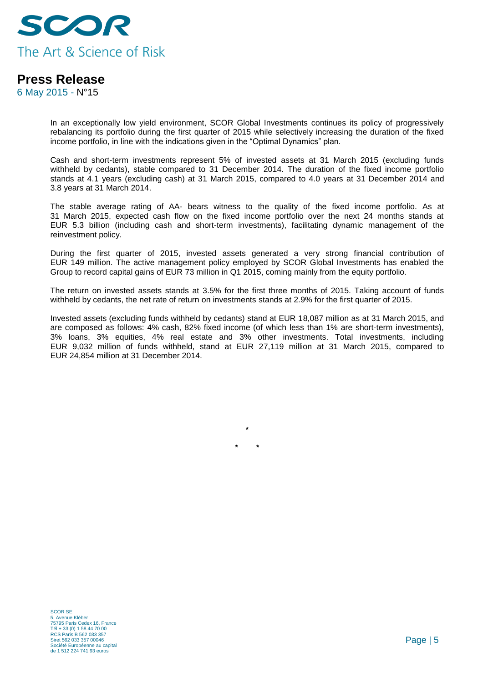

6 May 2015 - N°15

In an exceptionally low yield environment, SCOR Global Investments continues its policy of progressively rebalancing its portfolio during the first quarter of 2015 while selectively increasing the duration of the fixed income portfolio, in line with the indications given in the "Optimal Dynamics" plan.

Cash and short-term investments represent 5% of invested assets at 31 March 2015 (excluding funds withheld by cedants), stable compared to 31 December 2014. The duration of the fixed income portfolio stands at 4.1 years (excluding cash) at 31 March 2015, compared to 4.0 years at 31 December 2014 and 3.8 years at 31 March 2014.

The stable average rating of AA- bears witness to the quality of the fixed income portfolio. As at 31 March 2015, expected cash flow on the fixed income portfolio over the next 24 months stands at EUR 5.3 billion (including cash and short-term investments), facilitating dynamic management of the reinvestment policy.

During the first quarter of 2015, invested assets generated a very strong financial contribution of EUR 149 million. The active management policy employed by SCOR Global Investments has enabled the Group to record capital gains of EUR 73 million in Q1 2015, coming mainly from the equity portfolio.

The return on invested assets stands at 3.5% for the first three months of 2015. Taking account of funds withheld by cedants, the net rate of return on investments stands at 2.9% for the first quarter of 2015.

Invested assets (excluding funds withheld by cedants) stand at EUR 18,087 million as at 31 March 2015, and are composed as follows: 4% cash, 82% fixed income (of which less than 1% are short-term investments), 3% loans, 3% equities, 4% real estate and 3% other investments. Total investments, including EUR 9,032 million of funds withheld, stand at EUR 27,119 million at 31 March 2015, compared to EUR 24,854 million at 31 December 2014.

**\***

**\* \***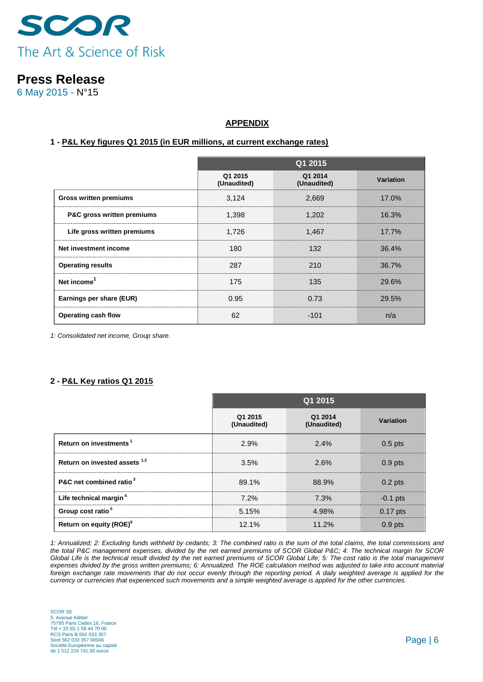

6 May 2015 - N°15

### **APPENDIX**

#### **1 - P&L Key figures Q1 2015 (in EUR millions, at current exchange rates)**

|                               | Q1 2015                |                        |                  |
|-------------------------------|------------------------|------------------------|------------------|
|                               | Q1 2015<br>(Unaudited) | Q1 2014<br>(Unaudited) | <b>Variation</b> |
| <b>Gross written premiums</b> | 3,124                  | 2,669                  | 17.0%            |
| P&C gross written premiums    | 1,398                  | 1,202                  | 16.3%            |
| Life gross written premiums   | 1,726                  | 1,467                  | $17.7\%$         |
| Net investment income         | 180                    | 132                    | 36.4%            |
| <b>Operating results</b>      | 287                    | 210                    | 36.7%            |
| Net income <sup>1</sup>       | 175                    | 135                    | 29.6%            |
| Earnings per share (EUR)      | 0.95                   | 0.73                   | 29.5%            |
| Operating cash flow           | 62                     | $-101$                 | n/a              |

*1: Consolidated net income, Group share.*

### **2 - P&L Key ratios Q1 2015**

|                                     | Q1 2015                |                        |                  |
|-------------------------------------|------------------------|------------------------|------------------|
|                                     | Q1 2015<br>(Unaudited) | Q1 2014<br>(Unaudited) | <b>Variation</b> |
| Return on investments <sup>1</sup>  | 2.9%                   | 2.4%                   | $0.5$ pts        |
| Return on invested assets $1,2$     | 3.5%                   | 2.6%                   | $0.9$ pts        |
| P&C net combined ratio <sup>3</sup> | 89.1%                  | 88.9%                  | $0.2$ pts        |
| Life technical margin <sup>4</sup>  | 7.2%                   | 7.3%                   | $-0.1$ pts       |
| Group cost ratio <sup>5</sup>       | 5.15%                  | 4.98%                  | $0.17$ pts       |
| Return on equity (ROE) <sup>6</sup> | 12.1%                  | 11.2%                  | $0.9$ pts        |

*1: Annualized; 2: Excluding funds withheld by cedants; 3: The combined ratio is the sum of the total claims, the total commissions and the total P&C management expenses, divided by the net earned premiums of SCOR Global P&C; 4: The technical margin for SCOR Global Life is the technical result divided by the net earned premiums of SCOR Global Life; 5: The cost ratio is the total management expenses divided by the gross written premiums; 6: Annualized. The ROE calculation method was adjusted to take into account material*  foreign exchange rate movements that do not occur evenly through the reporting period. A daily weighted average is applied for the *currency or currencies that experienced such movements and a simple weighted average is applied for the other currencies.*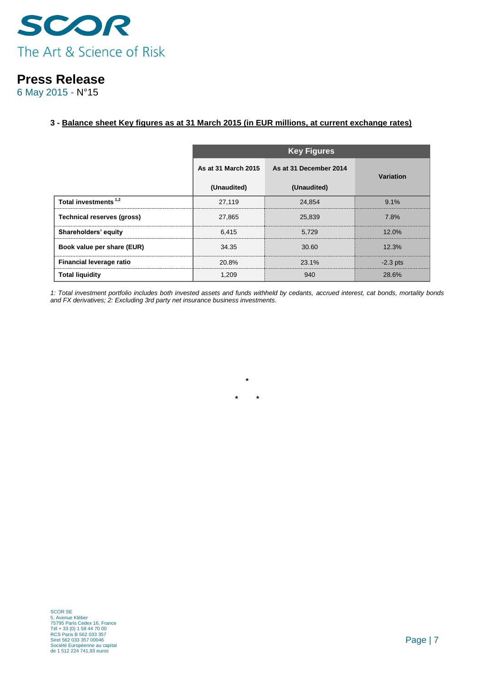

6 May 2015 - N°15

### **3 - Balance sheet Key figures as at 31 March 2015 (in EUR millions, at current exchange rates)**

|                                   | <b>Key Figures</b>  |                        |                  |  |
|-----------------------------------|---------------------|------------------------|------------------|--|
|                                   | As at 31 March 2015 | As at 31 December 2014 | <b>Variation</b> |  |
|                                   | (Unaudited)         | (Unaudited)            |                  |  |
| Total investments <sup>1,2</sup>  | 27,119              | 24.854                 | 9.1%             |  |
| <b>Technical reserves (gross)</b> | 27,865              | 25.839                 | 7.8%             |  |
| Shareholders' equity              | 6.415               | 5.729                  | 12.0%            |  |
| Book value per share (EUR)        | 34.35               | 30.60                  | 12.3%            |  |
| Financial leverage ratio          | 20.8%               | 23.1%                  | $-2.3$ pts       |  |
| <b>Total liquidity</b>            | 1.209               | 940                    | 28.6%            |  |

*1: Total investment portfolio includes both invested assets and funds withheld by cedants, accrued interest, cat bonds, mortality bonds and FX derivatives; 2: Excluding 3rd party net insurance business investments.*

**\***

**\* \***